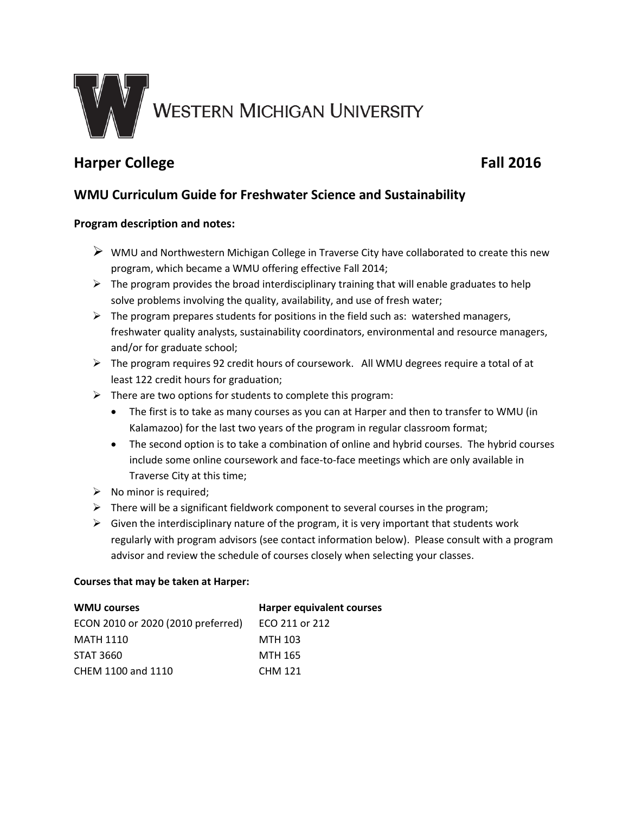

# **Harper College Fall 2016**

## **WMU Curriculum Guide for Freshwater Science and Sustainability**

### **Program description and notes:**

- $\triangleright$  WMU and Northwestern Michigan College in Traverse City have collaborated to create this new program, which became a WMU offering effective Fall 2014;
- $\triangleright$  The program provides the broad interdisciplinary training that will enable graduates to help solve problems involving the quality, availability, and use of fresh water;
- $\triangleright$  The program prepares students for positions in the field such as: watershed managers, freshwater quality analysts, sustainability coordinators, environmental and resource managers, and/or for graduate school;
- The program requires 92 credit hours of coursework. All WMU degrees require a total of at least 122 credit hours for graduation;
- $\triangleright$  There are two options for students to complete this program:
	- The first is to take as many courses as you can at Harper and then to transfer to WMU (in Kalamazoo) for the last two years of the program in regular classroom format;
	- The second option is to take a combination of online and hybrid courses. The hybrid courses include some online coursework and face-to-face meetings which are only available in Traverse City at this time;
- $\triangleright$  No minor is required;
- $\triangleright$  There will be a significant fieldwork component to several courses in the program;
- $\triangleright$  Given the interdisciplinary nature of the program, it is very important that students work regularly with program advisors (see contact information below). Please consult with a program advisor and review the schedule of courses closely when selecting your classes.

#### **Courses that may be taken at Harper:**

| <b>WMU courses</b>                 | <b>Harper equivalent courses</b> |
|------------------------------------|----------------------------------|
| ECON 2010 or 2020 (2010 preferred) | ECO 211 or 212                   |
| <b>MATH 1110</b>                   | MTH 103                          |
| STAT 3660                          | MTH 165                          |
| CHEM 1100 and 1110                 | <b>CHM 121</b>                   |